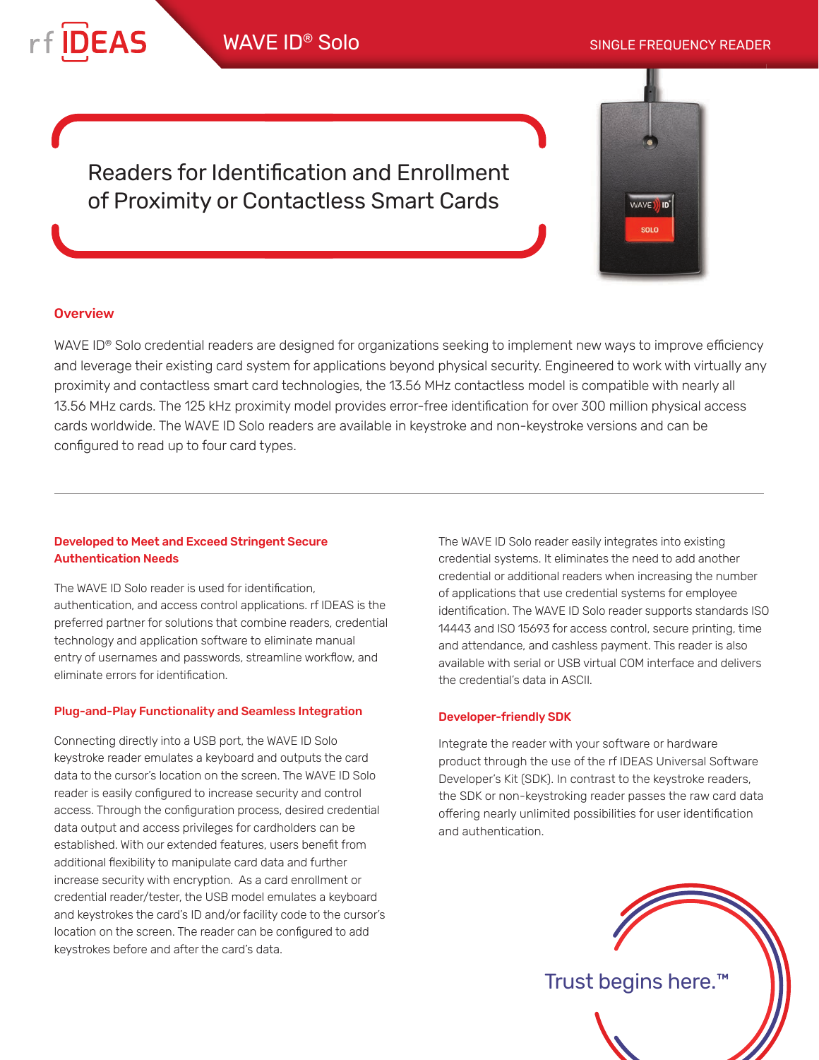

WAVE I

Readers for Identification and Enrollment of Proximity or Contactless Smart Cards

## **Overview**

WAVE ID<sup>®</sup> Solo credential readers are designed for organizations seeking to implement new ways to improve efficiency and leverage their existing card system for applications beyond physical security. Engineered to work with virtually any proximity and contactless smart card technologies, the 13.56 MHz contactless model is compatible with nearly all 13.56 MHz cards. The 125 kHz proximity model provides error-free identification for over 300 million physical access cards worldwide. The WAVE ID Solo readers are available in keystroke and non-keystroke versions and can be configured to read up to four card types.

### Developed to Meet and Exceed Stringent Secure Authentication Needs

The WAVE ID Solo reader is used for identification, authentication, and access control applications. rf IDEAS is the preferred partner for solutions that combine readers, credential technology and application software to eliminate manual entry of usernames and passwords, streamline workflow, and eliminate errors for identification.

#### Plug-and-Play Functionality and Seamless Integration

Connecting directly into a USB port, the WAVE ID Solo keystroke reader emulates a keyboard and outputs the card data to the cursor's location on the screen. The WAVE ID Solo reader is easily configured to increase security and control access. Through the configuration process, desired credential data output and access privileges for cardholders can be established. With our extended features, users benefit from additional flexibility to manipulate card data and further increase security with encryption. As a card enrollment or credential reader/tester, the USB model emulates a keyboard and keystrokes the card's ID and/or facility code to the cursor's location on the screen. The reader can be configured to add keystrokes before and after the card's data.

The WAVE ID Solo reader easily integrates into existing credential systems. It eliminates the need to add another credential or additional readers when increasing the number of applications that use credential systems for employee identification. The WAVE ID Solo reader supports standards ISO 14443 and ISO 15693 for access control, secure printing, time and attendance, and cashless payment. This reader is also available with serial or USB virtual COM interface and delivers the credential's data in ASCII.

#### Developer-friendly SDK

Integrate the reader with your software or hardware product through the use of the rf IDEAS Universal Software Developer's Kit (SDK). In contrast to the keystroke readers, the SDK or non-keystroking reader passes the raw card data offering nearly unlimited possibilities for user identification and authentication.



Trust begins here.™